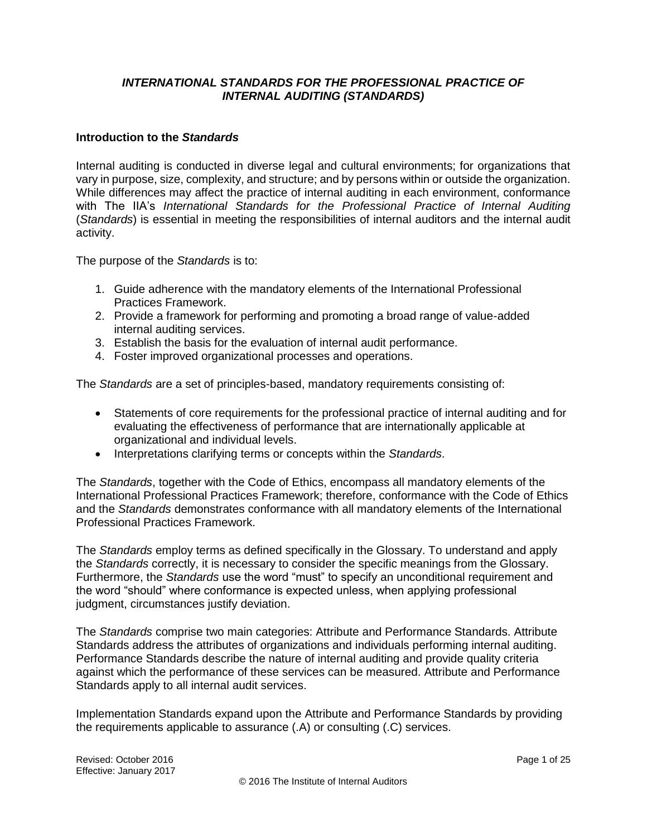# *INTERNATIONAL STANDARDS FOR THE PROFESSIONAL PRACTICE OF INTERNAL AUDITING (STANDARDS)*

# **Introduction to the** *Standards*

Internal auditing is conducted in diverse legal and cultural environments; for organizations that vary in purpose, size, complexity, and structure; and by persons within or outside the organization. While differences may affect the practice of internal auditing in each environment, conformance with The IIA's *International Standards for the Professional Practice of Internal Auditing* (*Standards*) is essential in meeting the responsibilities of internal auditors and the internal audit activity.

The purpose of the *Standards* is to:

- 1. Guide adherence with the mandatory elements of the International Professional Practices Framework.
- 2. Provide a framework for performing and promoting a broad range of value-added internal auditing services.
- 3. Establish the basis for the evaluation of internal audit performance.
- 4. Foster improved organizational processes and operations.

The *Standards* are a set of principles-based, mandatory requirements consisting of:

- Statements of core requirements for the professional practice of internal auditing and for evaluating the effectiveness of performance that are internationally applicable at organizational and individual levels.
- Interpretations clarifying terms or concepts within the *Standards*.

The *Standards*, together with the Code of Ethics, encompass all mandatory elements of the International Professional Practices Framework; therefore, conformance with the Code of Ethics and the *Standards* demonstrates conformance with all mandatory elements of the International Professional Practices Framework.

The *Standards* employ terms as defined specifically in the Glossary. To understand and apply the *Standards* correctly, it is necessary to consider the specific meanings from the Glossary. Furthermore, the *Standards* use the word "must" to specify an unconditional requirement and the word "should" where conformance is expected unless, when applying professional judgment, circumstances justify deviation.

The *Standards* comprise two main categories: Attribute and Performance Standards. Attribute Standards address the attributes of organizations and individuals performing internal auditing. Performance Standards describe the nature of internal auditing and provide quality criteria against which the performance of these services can be measured. Attribute and Performance Standards apply to all internal audit services.

Implementation Standards expand upon the Attribute and Performance Standards by providing the requirements applicable to assurance (.A) or consulting (.C) services.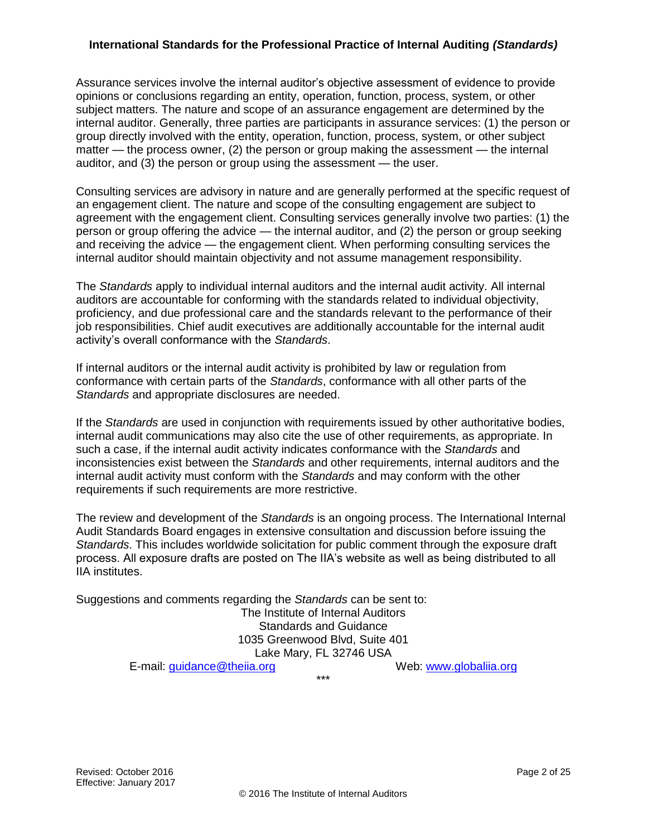Assurance services involve the internal auditor's objective assessment of evidence to provide opinions or conclusions regarding an entity, operation, function, process, system, or other subject matters. The nature and scope of an assurance engagement are determined by the internal auditor. Generally, three parties are participants in assurance services: (1) the person or group directly involved with the entity, operation, function, process, system, or other subject matter — the process owner, (2) the person or group making the assessment — the internal auditor, and (3) the person or group using the assessment — the user.

Consulting services are advisory in nature and are generally performed at the specific request of an engagement client. The nature and scope of the consulting engagement are subject to agreement with the engagement client. Consulting services generally involve two parties: (1) the person or group offering the advice — the internal auditor, and (2) the person or group seeking and receiving the advice — the engagement client. When performing consulting services the internal auditor should maintain objectivity and not assume management responsibility.

The *Standards* apply to individual internal auditors and the internal audit activity. All internal auditors are accountable for conforming with the standards related to individual objectivity, proficiency, and due professional care and the standards relevant to the performance of their job responsibilities. Chief audit executives are additionally accountable for the internal audit activity's overall conformance with the *Standards*.

If internal auditors or the internal audit activity is prohibited by law or regulation from conformance with certain parts of the *Standards*, conformance with all other parts of the *Standards* and appropriate disclosures are needed.

If the *Standards* are used in conjunction with requirements issued by other authoritative bodies, internal audit communications may also cite the use of other requirements, as appropriate. In such a case, if the internal audit activity indicates conformance with the *Standards* and inconsistencies exist between the *Standards* and other requirements, internal auditors and the internal audit activity must conform with the *Standards* and may conform with the other requirements if such requirements are more restrictive.

The review and development of the *Standards* is an ongoing process. The International Internal Audit Standards Board engages in extensive consultation and discussion before issuing the *Standards*. This includes worldwide solicitation for public comment through the exposure draft process. All exposure drafts are posted on The IIA's website as well as being distributed to all IIA institutes.

Suggestions and comments regarding the *Standards* can be sent to: The Institute of Internal Auditors Standards and Guidance 1035 Greenwood Blvd, Suite 401 Lake Mary, FL 32746 USA

E-mail: [guidance@theiia.org](mailto:guidance@theiia.org) Web: [www.globaliia.org](http://www.theiia.org/)

\*\*\*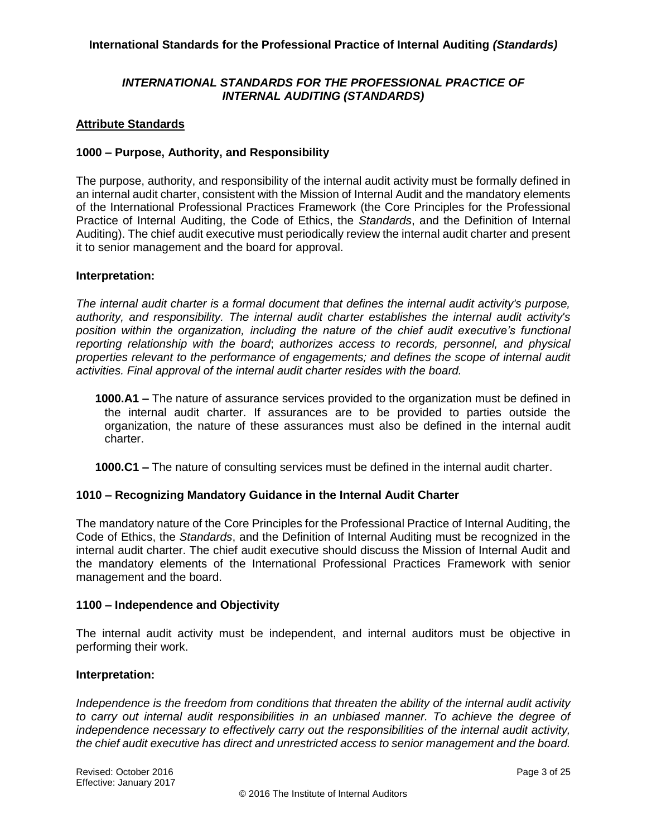# *INTERNATIONAL STANDARDS FOR THE PROFESSIONAL PRACTICE OF INTERNAL AUDITING (STANDARDS)*

# **Attribute Standards**

# **1000 – Purpose, Authority, and Responsibility**

The purpose, authority, and responsibility of the internal audit activity must be formally defined in an internal audit charter, consistent with the Mission of Internal Audit and the mandatory elements of the International Professional Practices Framework (the Core Principles for the Professional Practice of Internal Auditing, the Code of Ethics, the *Standards*, and the Definition of Internal Auditing). The chief audit executive must periodically review the internal audit charter and present it to senior management and the board for approval.

# **Interpretation:**

*The internal audit charter is a formal document that defines the internal audit activity's purpose, authority, and responsibility. The internal audit charter establishes the internal audit activity's position within the organization, including the nature of the chief audit executive's functional reporting relationship with the board*; *authorizes access to records, personnel, and physical properties relevant to the performance of engagements; and defines the scope of internal audit activities. Final approval of the internal audit charter resides with the board.*

- **1000.A1 –** The nature of assurance services provided to the organization must be defined in the internal audit charter. If assurances are to be provided to parties outside the organization, the nature of these assurances must also be defined in the internal audit charter.
- **1000.C1 –** The nature of consulting services must be defined in the internal audit charter.

# **1010 – Recognizing Mandatory Guidance in the Internal Audit Charter**

The mandatory nature of the Core Principles for the Professional Practice of Internal Auditing, the Code of Ethics, the *Standards*, and the Definition of Internal Auditing must be recognized in the internal audit charter. The chief audit executive should discuss the Mission of Internal Audit and the mandatory elements of the International Professional Practices Framework with senior management and the board.

# **1100 – Independence and Objectivity**

The internal audit activity must be independent, and internal auditors must be objective in performing their work.

# **Interpretation:**

*Independence is the freedom from conditions that threaten the ability of the internal audit activity to carry out internal audit responsibilities in an unbiased manner. To achieve the degree of independence necessary to effectively carry out the responsibilities of the internal audit activity, the chief audit executive has direct and unrestricted access to senior management and the board.*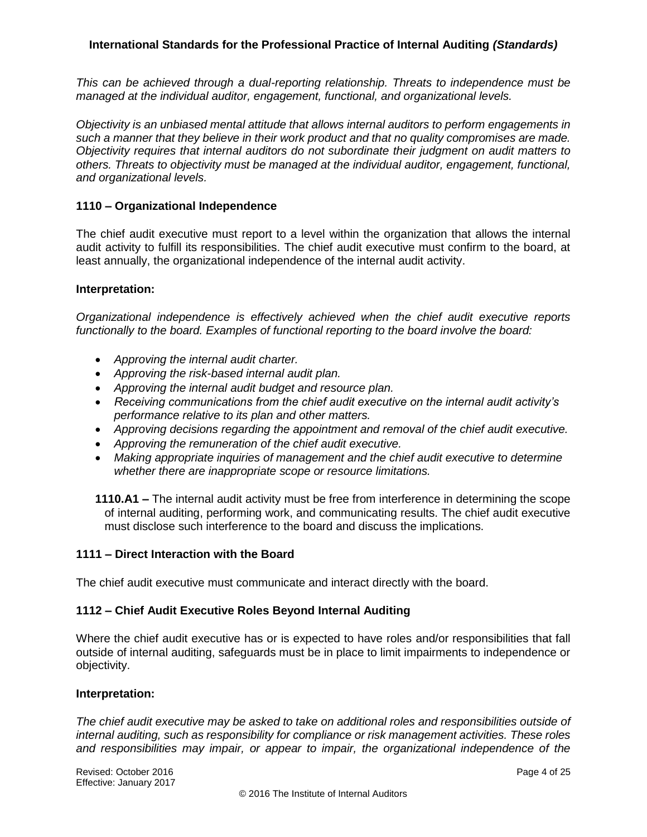*This can be achieved through a dual-reporting relationship. Threats to independence must be managed at the individual auditor, engagement, functional, and organizational levels.*

*Objectivity is an unbiased mental attitude that allows internal auditors to perform engagements in such a manner that they believe in their work product and that no quality compromises are made. Objectivity requires that internal auditors do not subordinate their judgment on audit matters to others. Threats to objectivity must be managed at the individual auditor, engagement, functional, and organizational levels.*

# **1110 – Organizational Independence**

The chief audit executive must report to a level within the organization that allows the internal audit activity to fulfill its responsibilities. The chief audit executive must confirm to the board, at least annually, the organizational independence of the internal audit activity.

# **Interpretation:**

*Organizational independence is effectively achieved when the chief audit executive reports functionally to the board. Examples of functional reporting to the board involve the board:*

- *Approving the internal audit charter.*
- *Approving the risk-based internal audit plan.*
- *Approving the internal audit budget and resource plan.*
- *Receiving communications from the chief audit executive on the internal audit activity's performance relative to its plan and other matters.*
- *Approving decisions regarding the appointment and removal of the chief audit executive.*
- *Approving the remuneration of the chief audit executive.*
- *Making appropriate inquiries of management and the chief audit executive to determine whether there are inappropriate scope or resource limitations.*
- **1110.A1 –** The internal audit activity must be free from interference in determining the scope of internal auditing, performing work, and communicating results. The chief audit executive must disclose such interference to the board and discuss the implications.

# **1111 – Direct Interaction with the Board**

The chief audit executive must communicate and interact directly with the board.

# **1112 – Chief Audit Executive Roles Beyond Internal Auditing**

Where the chief audit executive has or is expected to have roles and/or responsibilities that fall outside of internal auditing, safeguards must be in place to limit impairments to independence or objectivity.

# **Interpretation:**

*The chief audit executive may be asked to take on additional roles and responsibilities outside of internal auditing, such as responsibility for compliance or risk management activities. These roles and responsibilities may impair, or appear to impair, the organizational independence of the*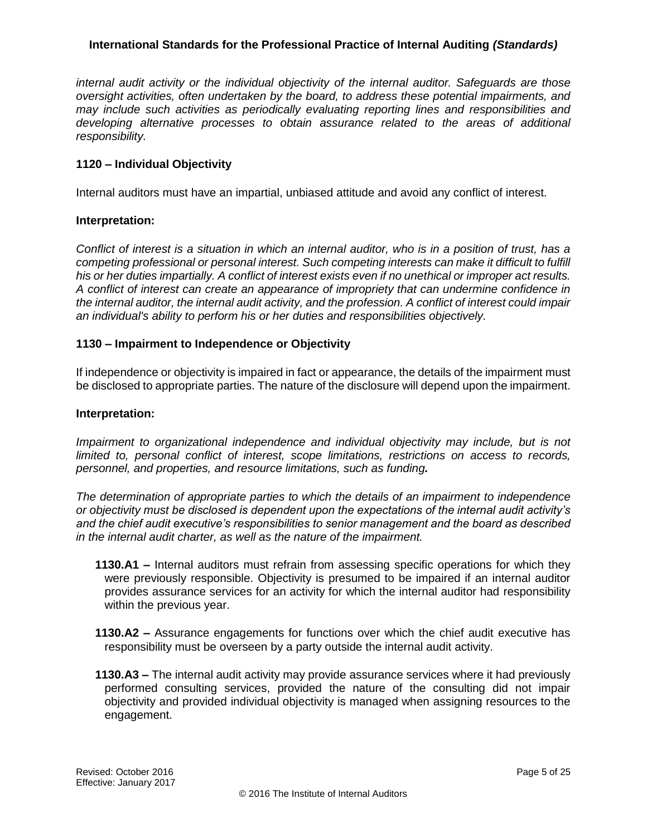*internal audit activity or the individual objectivity of the internal auditor. Safeguards are those oversight activities, often undertaken by the board, to address these potential impairments, and may include such activities as periodically evaluating reporting lines and responsibilities and developing alternative processes to obtain assurance related to the areas of additional responsibility.*

# **1120 – Individual Objectivity**

Internal auditors must have an impartial, unbiased attitude and avoid any conflict of interest.

### **Interpretation:**

*Conflict of interest is a situation in which an internal auditor, who is in a position of trust, has a competing professional or personal interest. Such competing interests can make it difficult to fulfill his or her duties impartially. A conflict of interest exists even if no unethical or improper act results. A conflict of interest can create an appearance of impropriety that can undermine confidence in the internal auditor, the internal audit activity, and the profession. A conflict of interest could impair an individual's ability to perform his or her duties and responsibilities objectively.*

# **1130 – Impairment to Independence or Objectivity**

If independence or objectivity is impaired in fact or appearance, the details of the impairment must be disclosed to appropriate parties. The nature of the disclosure will depend upon the impairment.

### **Interpretation:**

*Impairment* to organizational independence and individual objectivity may include, but is not *limited to, personal conflict of interest, scope limitations, restrictions on access to records, personnel, and properties, and resource limitations, such as funding.*

*The determination of appropriate parties to which the details of an impairment to independence or objectivity must be disclosed is dependent upon the expectations of the internal audit activity's and the chief audit executive's responsibilities to senior management and the board as described in the internal audit charter, as well as the nature of the impairment.*

- **1130.A1 –** Internal auditors must refrain from assessing specific operations for which they were previously responsible. Objectivity is presumed to be impaired if an internal auditor provides assurance services for an activity for which the internal auditor had responsibility within the previous year.
- **1130.A2 –** Assurance engagements for functions over which the chief audit executive has responsibility must be overseen by a party outside the internal audit activity.
- **1130.A3 –** The internal audit activity may provide assurance services where it had previously performed consulting services, provided the nature of the consulting did not impair objectivity and provided individual objectivity is managed when assigning resources to the engagement.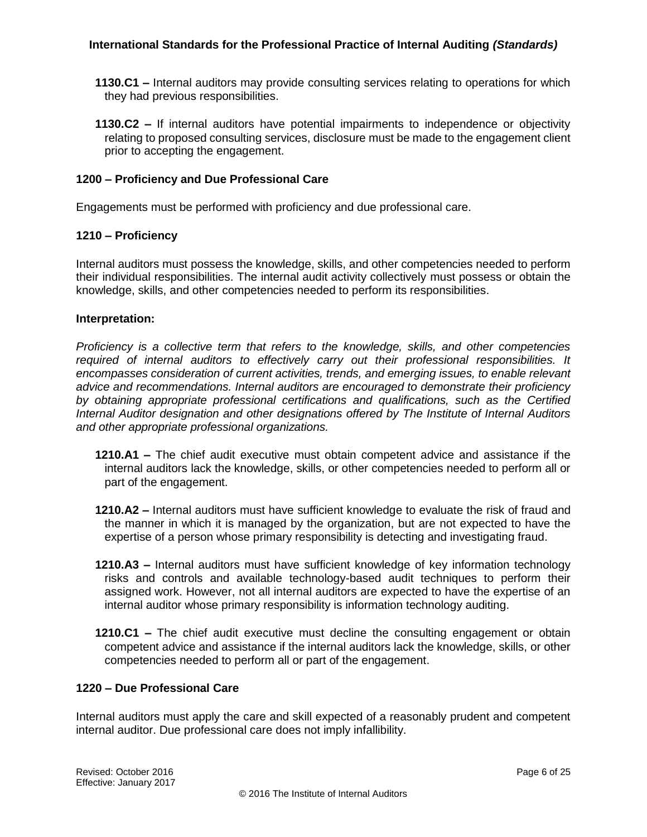- **1130.C1 –** Internal auditors may provide consulting services relating to operations for which they had previous responsibilities.
- **1130.C2 –** If internal auditors have potential impairments to independence or objectivity relating to proposed consulting services, disclosure must be made to the engagement client prior to accepting the engagement.

# **1200 – Proficiency and Due Professional Care**

Engagements must be performed with proficiency and due professional care.

# **1210 – Proficiency**

Internal auditors must possess the knowledge, skills, and other competencies needed to perform their individual responsibilities. The internal audit activity collectively must possess or obtain the knowledge, skills, and other competencies needed to perform its responsibilities.

# **Interpretation:**

*Proficiency is a collective term that refers to the knowledge, skills, and other competencies required of internal auditors to effectively carry out their professional responsibilities. It encompasses consideration of current activities, trends, and emerging issues, to enable relevant advice and recommendations. Internal auditors are encouraged to demonstrate their proficiency by obtaining appropriate professional certifications and qualifications, such as the Certified Internal Auditor designation and other designations offered by The Institute of Internal Auditors and other appropriate professional organizations.*

- **1210.A1 –** The chief audit executive must obtain competent advice and assistance if the internal auditors lack the knowledge, skills, or other competencies needed to perform all or part of the engagement.
- **1210.A2 –** Internal auditors must have sufficient knowledge to evaluate the risk of fraud and the manner in which it is managed by the organization, but are not expected to have the expertise of a person whose primary responsibility is detecting and investigating fraud.
- **1210.A3 –** Internal auditors must have sufficient knowledge of key information technology risks and controls and available technology-based audit techniques to perform their assigned work. However, not all internal auditors are expected to have the expertise of an internal auditor whose primary responsibility is information technology auditing.
- **1210.C1 –** The chief audit executive must decline the consulting engagement or obtain competent advice and assistance if the internal auditors lack the knowledge, skills, or other competencies needed to perform all or part of the engagement.

# **1220 – Due Professional Care**

Internal auditors must apply the care and skill expected of a reasonably prudent and competent internal auditor. Due professional care does not imply infallibility.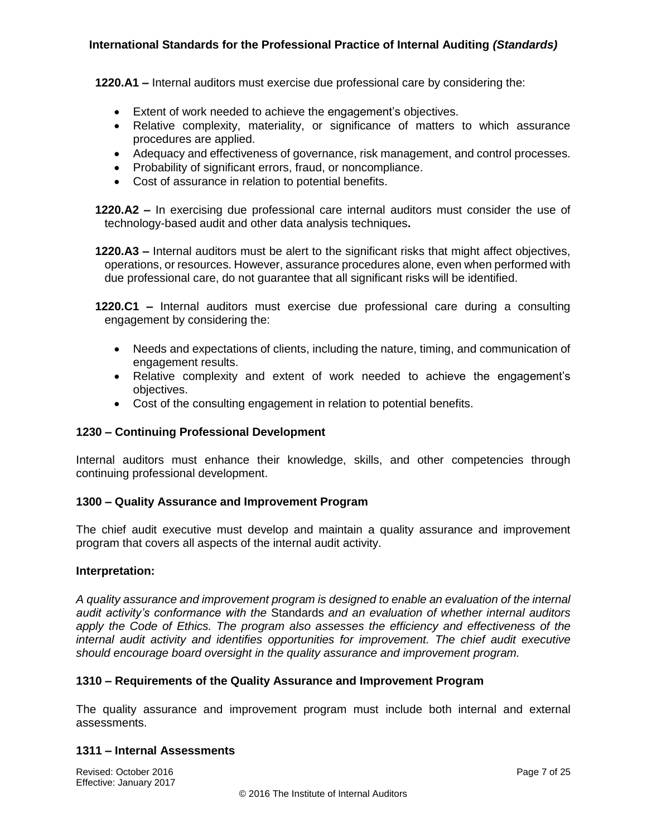**1220.A1 –** Internal auditors must exercise due professional care by considering the:

- Extent of work needed to achieve the engagement's objectives.
- Relative complexity, materiality, or significance of matters to which assurance procedures are applied.
- Adequacy and effectiveness of governance, risk management, and control processes.
- Probability of significant errors, fraud, or noncompliance.
- Cost of assurance in relation to potential benefits.

**1220.A2** *–* In exercising due professional care internal auditors must consider the use of technology-based audit and other data analysis techniques**.**

**1220.A3 –** Internal auditors must be alert to the significant risks that might affect objectives, operations, or resources. However, assurance procedures alone, even when performed with due professional care, do not guarantee that all significant risks will be identified.

- **1220.C1 –** Internal auditors must exercise due professional care during a consulting engagement by considering the:
	- Needs and expectations of clients, including the nature, timing, and communication of engagement results.
	- Relative complexity and extent of work needed to achieve the engagement's objectives.
	- Cost of the consulting engagement in relation to potential benefits.

# **1230 – Continuing Professional Development**

Internal auditors must enhance their knowledge, skills, and other competencies through continuing professional development.

# **1300 – Quality Assurance and Improvement Program**

The chief audit executive must develop and maintain a quality assurance and improvement program that covers all aspects of the internal audit activity.

# **Interpretation:**

*A quality assurance and improvement program is designed to enable an evaluation of the internal audit activity's conformance with the* Standards *and an evaluation of whether internal auditors apply the Code of Ethics. The program also assesses the efficiency and effectiveness of the internal audit activity and identifies opportunities for improvement. The chief audit executive should encourage board oversight in the quality assurance and improvement program.*

# **1310 – Requirements of the Quality Assurance and Improvement Program**

The quality assurance and improvement program must include both internal and external assessments.

# **1311 – Internal Assessments**

Revised: October 2016 **Page 7 of 25** Page 7 of 25 Effective: January 2017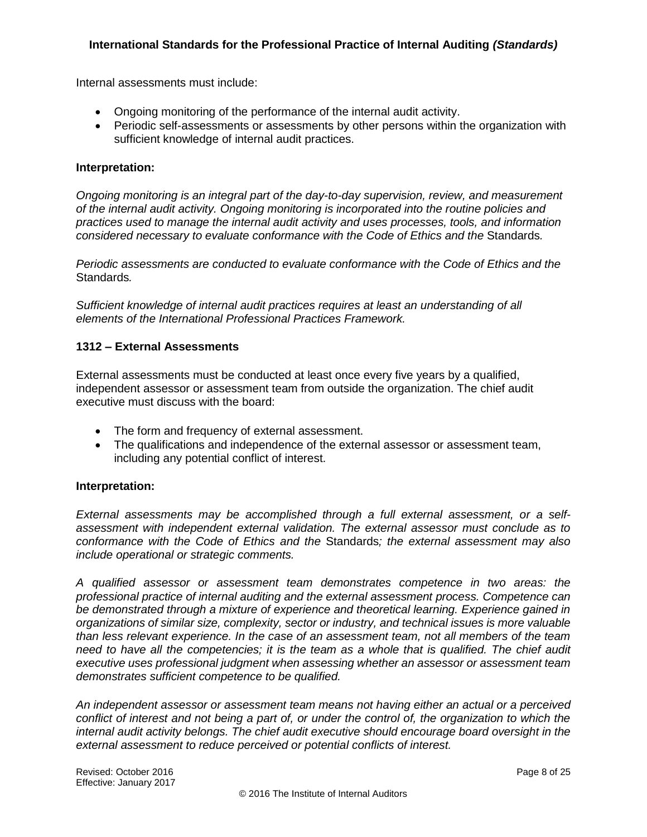Internal assessments must include:

- Ongoing monitoring of the performance of the internal audit activity.
- Periodic self-assessments or assessments by other persons within the organization with sufficient knowledge of internal audit practices.

### **Interpretation:**

*Ongoing monitoring is an integral part of the day-to-day supervision, review, and measurement of the internal audit activity. Ongoing monitoring is incorporated into the routine policies and practices used to manage the internal audit activity and uses processes, tools, and information considered necessary to evaluate conformance with the Code of Ethics and the* Standards*.*

*Periodic assessments are conducted to evaluate conformance with the Code of Ethics and the* Standards*.*

*Sufficient knowledge of internal audit practices requires at least an understanding of all elements of the International Professional Practices Framework.*

### **1312 – External Assessments**

External assessments must be conducted at least once every five years by a qualified, independent assessor or assessment team from outside the organization. The chief audit executive must discuss with the board:

- The form and frequency of external assessment.
- The qualifications and independence of the external assessor or assessment team, including any potential conflict of interest.

#### **Interpretation:**

*External assessments may be accomplished through a full external assessment, or a selfassessment with independent external validation. The external assessor must conclude as to conformance with the Code of Ethics and the* Standards*; the external assessment may also include operational or strategic comments.*

*A qualified assessor or assessment team demonstrates competence in two areas: the professional practice of internal auditing and the external assessment process. Competence can be demonstrated through a mixture of experience and theoretical learning. Experience gained in organizations of similar size, complexity, sector or industry, and technical issues is more valuable than less relevant experience. In the case of an assessment team, not all members of the team need to have all the competencies; it is the team as a whole that is qualified. The chief audit executive uses professional judgment when assessing whether an assessor or assessment team demonstrates sufficient competence to be qualified.*

*An independent assessor or assessment team means not having either an actual or a perceived conflict of interest and not being a part of, or under the control of, the organization to which the internal audit activity belongs. The chief audit executive should encourage board oversight in the external assessment to reduce perceived or potential conflicts of interest.*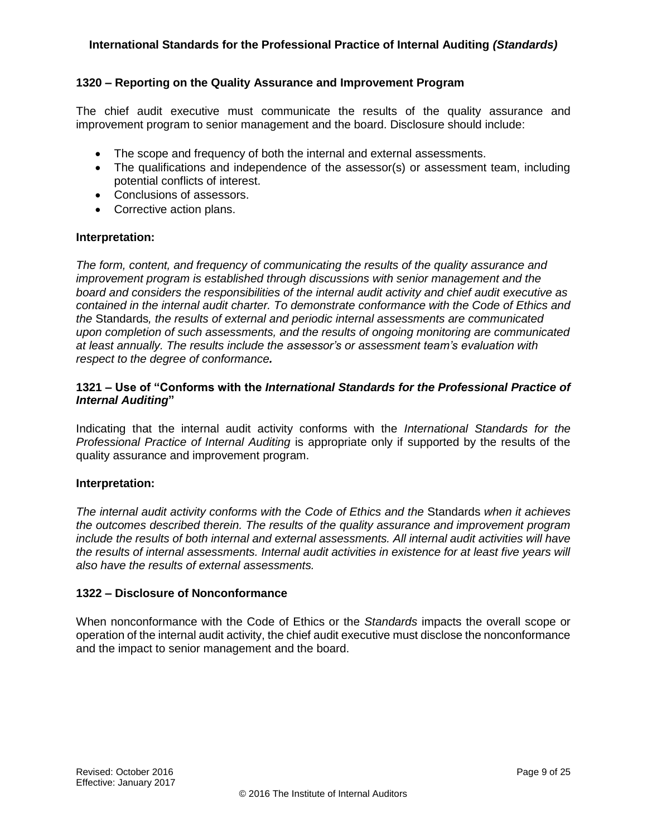# **1320 – Reporting on the Quality Assurance and Improvement Program**

The chief audit executive must communicate the results of the quality assurance and improvement program to senior management and the board. Disclosure should include:

- The scope and frequency of both the internal and external assessments.
- The qualifications and independence of the assessor(s) or assessment team, including potential conflicts of interest.
- Conclusions of assessors.
- Corrective action plans.

# **Interpretation:**

*The form, content, and frequency of communicating the results of the quality assurance and improvement program is established through discussions with senior management and the board and considers the responsibilities of the internal audit activity and chief audit executive as contained in the internal audit charter. To demonstrate conformance with the Code of Ethics and the* Standards*, the results of external and periodic internal assessments are communicated upon completion of such assessments, and the results of ongoing monitoring are communicated at least annually. The results include the assessor's or assessment team's evaluation with respect to the degree of conformance.*

# **1321 – Use of "Conforms with the** *International Standards for the Professional Practice of Internal Auditing***"**

Indicating that the internal audit activity conforms with the *International Standards for the Professional Practice of Internal Auditing* is appropriate only if supported by the results of the quality assurance and improvement program.

# **Interpretation:**

*The internal audit activity conforms with the Code of Ethics and the* Standards *when it achieves the outcomes described therein. The results of the quality assurance and improvement program include the results of both internal and external assessments. All internal audit activities will have the results of internal assessments. Internal audit activities in existence for at least five years will also have the results of external assessments.*

# **1322 – Disclosure of Nonconformance**

When nonconformance with the Code of Ethics or the *Standards* impacts the overall scope or operation of the internal audit activity, the chief audit executive must disclose the nonconformance and the impact to senior management and the board.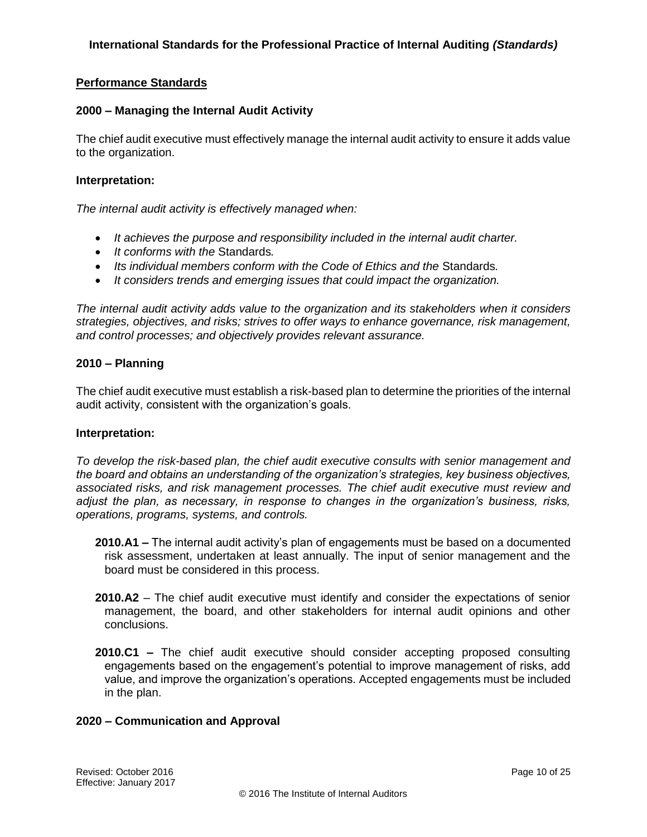# **Performance Standards**

# **2000 – Managing the Internal Audit Activity**

The chief audit executive must effectively manage the internal audit activity to ensure it adds value to the organization.

### **Interpretation:**

*The internal audit activity is effectively managed when:*

- *It achieves the purpose and responsibility included in the internal audit charter.*
- *It conforms with the* Standards*.*
- *Its individual members conform with the Code of Ethics and the* Standards*.*
- *It considers trends and emerging issues that could impact the organization.*

*The internal audit activity adds value to the organization and its stakeholders when it considers strategies, objectives, and risks; strives to offer ways to enhance governance, risk management, and control processes; and objectively provides relevant assurance.*

### **2010 – Planning**

The chief audit executive must establish a risk-based plan to determine the priorities of the internal audit activity, consistent with the organization's goals.

#### **Interpretation:**

*To develop the risk-based plan, the chief audit executive consults with senior management and the board and obtains an understanding of the organization's strategies, key business objectives, associated risks, and risk management processes. The chief audit executive must review and adjust the plan, as necessary, in response to changes in the organization's business, risks, operations, programs, systems, and controls.*

- **2010.A1 –** The internal audit activity's plan of engagements must be based on a documented risk assessment, undertaken at least annually. The input of senior management and the board must be considered in this process.
- **2010.A2** The chief audit executive must identify and consider the expectations of senior management, the board, and other stakeholders for internal audit opinions and other conclusions.
- **2010.C1 –** The chief audit executive should consider accepting proposed consulting engagements based on the engagement's potential to improve management of risks, add value, and improve the organization's operations. Accepted engagements must be included in the plan.

# **2020 – Communication and Approval**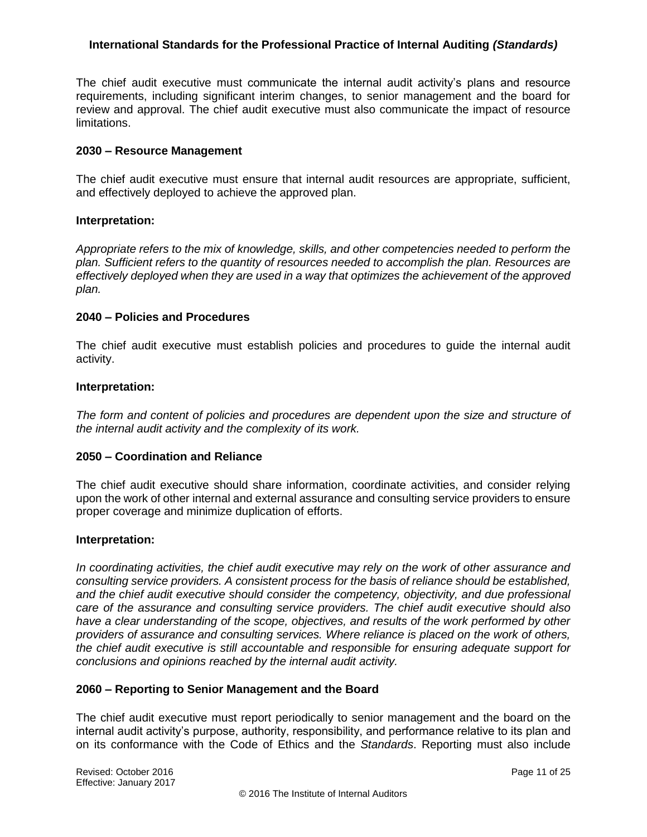The chief audit executive must communicate the internal audit activity's plans and resource requirements, including significant interim changes, to senior management and the board for review and approval. The chief audit executive must also communicate the impact of resource limitations.

# **2030 – Resource Management**

The chief audit executive must ensure that internal audit resources are appropriate, sufficient, and effectively deployed to achieve the approved plan.

### **Interpretation:**

*Appropriate refers to the mix of knowledge, skills, and other competencies needed to perform the plan. Sufficient refers to the quantity of resources needed to accomplish the plan. Resources are effectively deployed when they are used in a way that optimizes the achievement of the approved plan.*

### **2040 – Policies and Procedures**

The chief audit executive must establish policies and procedures to guide the internal audit activity.

### **Interpretation:**

*The form and content of policies and procedures are dependent upon the size and structure of the internal audit activity and the complexity of its work.*

# **2050 – Coordination and Reliance**

The chief audit executive should share information, coordinate activities, and consider relying upon the work of other internal and external assurance and consulting service providers to ensure proper coverage and minimize duplication of efforts.

### **Interpretation:**

*In coordinating activities, the chief audit executive may rely on the work of other assurance and consulting service providers. A consistent process for the basis of reliance should be established,*  and the chief audit executive should consider the competency, objectivity, and due professional *care of the assurance and consulting service providers. The chief audit executive should also have a clear understanding of the scope, objectives, and results of the work performed by other providers of assurance and consulting services. Where reliance is placed on the work of others, the chief audit executive is still accountable and responsible for ensuring adequate support for conclusions and opinions reached by the internal audit activity.*

#### **2060 – Reporting to Senior Management and the Board**

The chief audit executive must report periodically to senior management and the board on the internal audit activity's purpose, authority, responsibility, and performance relative to its plan and on its conformance with the Code of Ethics and the *Standards*. Reporting must also include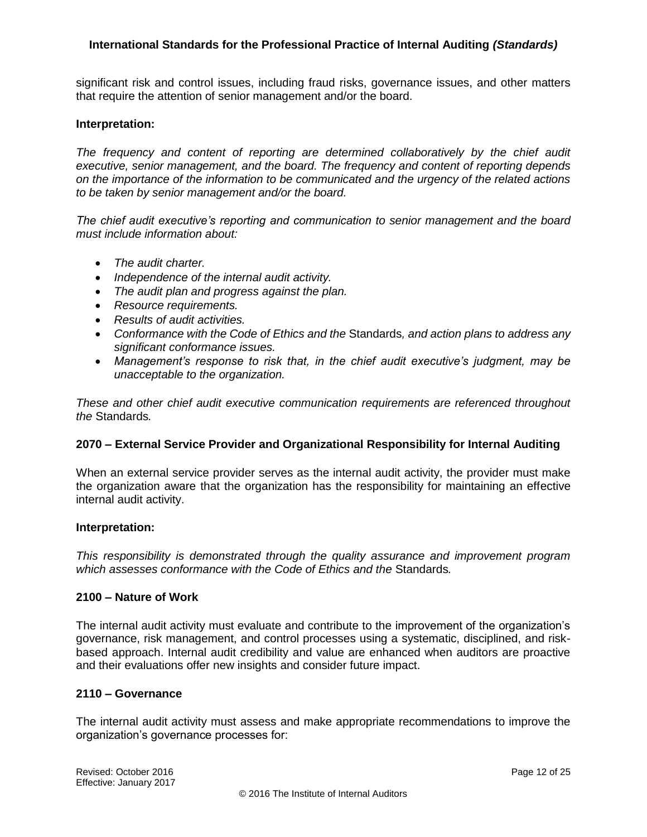significant risk and control issues, including fraud risks, governance issues, and other matters that require the attention of senior management and/or the board.

### **Interpretation:**

*The frequency and content of reporting are determined collaboratively by the chief audit executive, senior management, and the board. The frequency and content of reporting depends on the importance of the information to be communicated and the urgency of the related actions to be taken by senior management and/or the board.*

*The chief audit executive's reporting and communication to senior management and the board must include information about:*

- *The audit charter.*
- *Independence of the internal audit activity.*
- *The audit plan and progress against the plan.*
- *Resource requirements.*
- *Results of audit activities.*
- *Conformance with the Code of Ethics and the* Standards*, and action plans to address any significant conformance issues.*
- *Management's response to risk that, in the chief audit executive's judgment, may be unacceptable to the organization.*

*These and other chief audit executive communication requirements are referenced throughout the* Standards*.*

# **2070 – External Service Provider and Organizational Responsibility for Internal Auditing**

When an external service provider serves as the internal audit activity, the provider must make the organization aware that the organization has the responsibility for maintaining an effective internal audit activity.

#### **Interpretation:**

*This responsibility is demonstrated through the quality assurance and improvement program which assesses conformance with the Code of Ethics and the* Standards*.*

#### **2100 – Nature of Work**

The internal audit activity must evaluate and contribute to the improvement of the organization's governance, risk management, and control processes using a systematic, disciplined, and riskbased approach. Internal audit credibility and value are enhanced when auditors are proactive and their evaluations offer new insights and consider future impact.

### **2110 – Governance**

The internal audit activity must assess and make appropriate recommendations to improve the organization's governance processes for: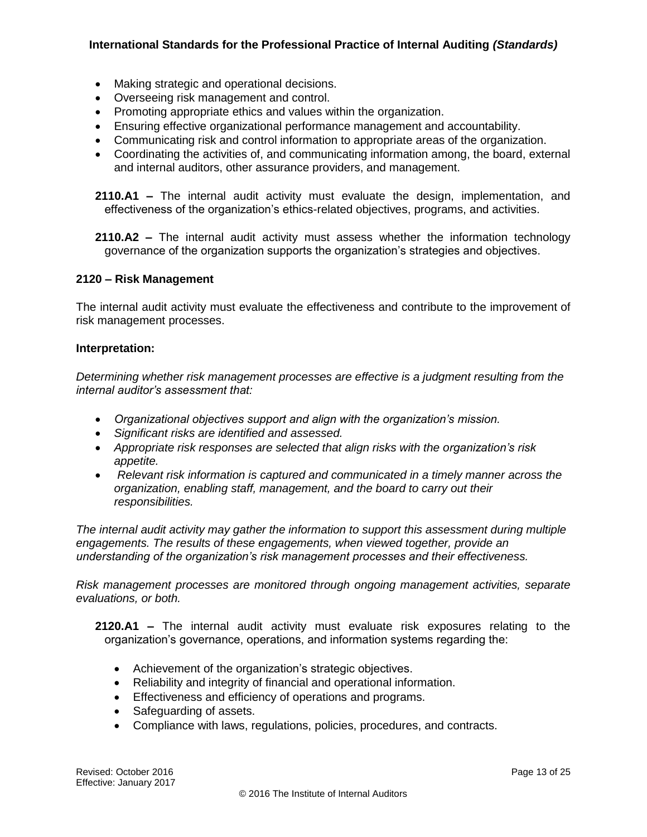- Making strategic and operational decisions.
- Overseeing risk management and control.
- Promoting appropriate ethics and values within the organization.
- Ensuring effective organizational performance management and accountability.
- Communicating risk and control information to appropriate areas of the organization.
- Coordinating the activities of, and communicating information among, the board, external and internal auditors, other assurance providers, and management.

**2110.A1 –** The internal audit activity must evaluate the design, implementation, and effectiveness of the organization's ethics-related objectives, programs, and activities.

**2110.A2 –** The internal audit activity must assess whether the information technology governance of the organization supports the organization's strategies and objectives.

# **2120 – Risk Management**

The internal audit activity must evaluate the effectiveness and contribute to the improvement of risk management processes.

### **Interpretation:**

*Determining whether risk management processes are effective is a judgment resulting from the internal auditor's assessment that:*

- *Organizational objectives support and align with the organization's mission.*
- *Significant risks are identified and assessed.*
- *Appropriate risk responses are selected that align risks with the organization's risk appetite.*
- Relevant risk information is captured and communicated in a timely manner *across the organization, enabling staff, management, and the board to carry out their responsibilities.*

*The internal audit activity may gather the information to support this assessment during multiple engagements. The results of these engagements, when viewed together, provide an understanding of the organization's risk management processes and their effectiveness.*

*Risk management processes are monitored through ongoing management activities, separate evaluations, or both.*

**2120.A1 –** The internal audit activity must evaluate risk exposures relating to the organization's governance, operations, and information systems regarding the:

- Achievement of the organization's strategic objectives.
- Reliability and integrity of financial and operational information.
- **Effectiveness and efficiency of operations and programs.**
- Safeguarding of assets.
- Compliance with laws, regulations, policies, procedures, and contracts.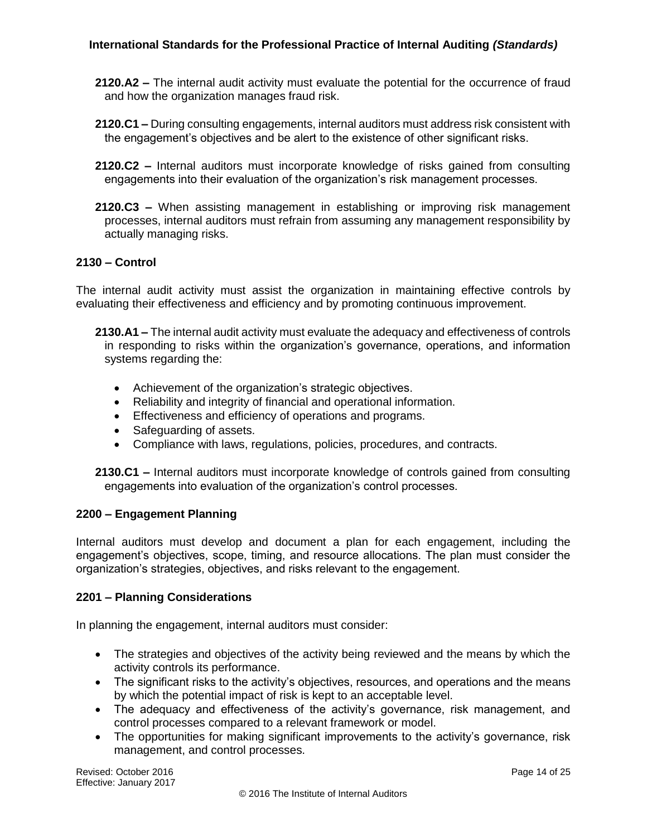- **2120.A2 –** The internal audit activity must evaluate the potential for the occurrence of fraud and how the organization manages fraud risk.
- **2120.C1 –** During consulting engagements, internal auditors must address risk consistent with the engagement's objectives and be alert to the existence of other significant risks.
- **2120.C2 –** Internal auditors must incorporate knowledge of risks gained from consulting engagements into their evaluation of the organization's risk management processes.
- **2120.C3 –** When assisting management in establishing or improving risk management processes, internal auditors must refrain from assuming any management responsibility by actually managing risks.

# **2130 – Control**

The internal audit activity must assist the organization in maintaining effective controls by evaluating their effectiveness and efficiency and by promoting continuous improvement.

- **2130.A1 –** The internal audit activity must evaluate the adequacy and effectiveness of controls in responding to risks within the organization's governance, operations, and information systems regarding the:
	- Achievement of the organization's strategic objectives.
	- Reliability and integrity of financial and operational information.
	- Effectiveness and efficiency of operations and programs.
	- Safeguarding of assets.
	- Compliance with laws, regulations, policies, procedures, and contracts.

**2130.C1 –** Internal auditors must incorporate knowledge of controls gained from consulting engagements into evaluation of the organization's control processes.

# **2200 – Engagement Planning**

Internal auditors must develop and document a plan for each engagement, including the engagement's objectives, scope, timing, and resource allocations. The plan must consider the organization's strategies, objectives, and risks relevant to the engagement.

# **2201 – Planning Considerations**

In planning the engagement, internal auditors must consider:

- The strategies and objectives of the activity being reviewed and the means by which the activity controls its performance.
- The significant risks to the activity's objectives, resources, and operations and the means by which the potential impact of risk is kept to an acceptable level.
- The adequacy and effectiveness of the activity's governance, risk management, and control processes compared to a relevant framework or model.
- The opportunities for making significant improvements to the activity's governance, risk management, and control processes.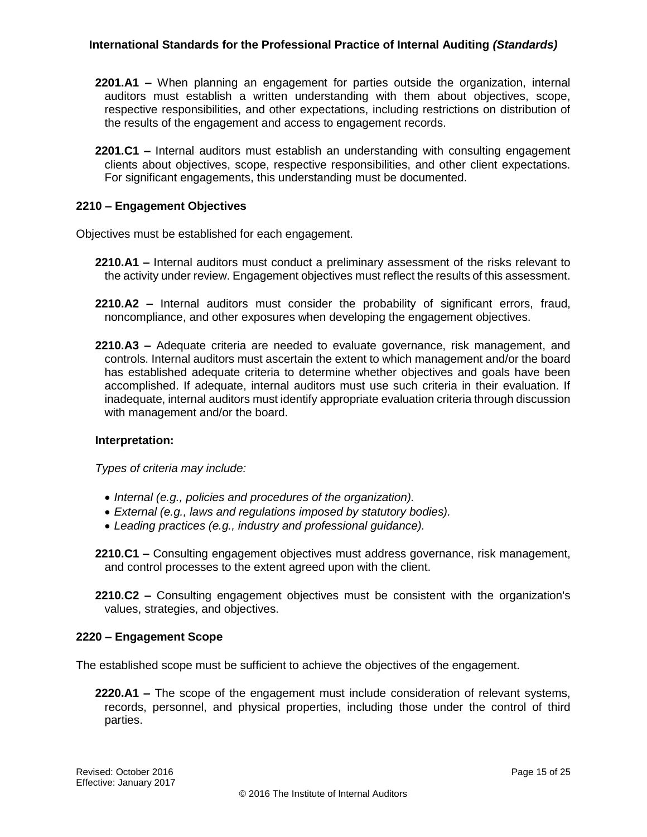- **2201.A1 –** When planning an engagement for parties outside the organization, internal auditors must establish a written understanding with them about objectives, scope, respective responsibilities, and other expectations, including restrictions on distribution of the results of the engagement and access to engagement records.
- **2201.C1 –** Internal auditors must establish an understanding with consulting engagement clients about objectives, scope, respective responsibilities, and other client expectations. For significant engagements, this understanding must be documented.

# **2210 – Engagement Objectives**

Objectives must be established for each engagement.

- **2210.A1 –** Internal auditors must conduct a preliminary assessment of the risks relevant to the activity under review. Engagement objectives must reflect the results of this assessment.
- **2210.A2 –** Internal auditors must consider the probability of significant errors, fraud, noncompliance, and other exposures when developing the engagement objectives.
- **2210.A3 –** Adequate criteria are needed to evaluate governance, risk management, and controls. Internal auditors must ascertain the extent to which management and/or the board has established adequate criteria to determine whether objectives and goals have been accomplished. If adequate, internal auditors must use such criteria in their evaluation. If inadequate, internal auditors must identify appropriate evaluation criteria through discussion with management and/or the board.

# **Interpretation:**

*Types of criteria may include:*

- *Internal (e.g., policies and procedures of the organization).*
- *External (e.g., laws and regulations imposed by statutory bodies).*
- *Leading practices (e.g., industry and professional guidance).*

**2210.C1 –** Consulting engagement objectives must address governance, risk management, and control processes to the extent agreed upon with the client.

**2210.C2 –** Consulting engagement objectives must be consistent with the organization's values, strategies, and objectives.

# **2220 – Engagement Scope**

The established scope must be sufficient to achieve the objectives of the engagement.

**2220.A1 –** The scope of the engagement must include consideration of relevant systems, records, personnel, and physical properties, including those under the control of third parties.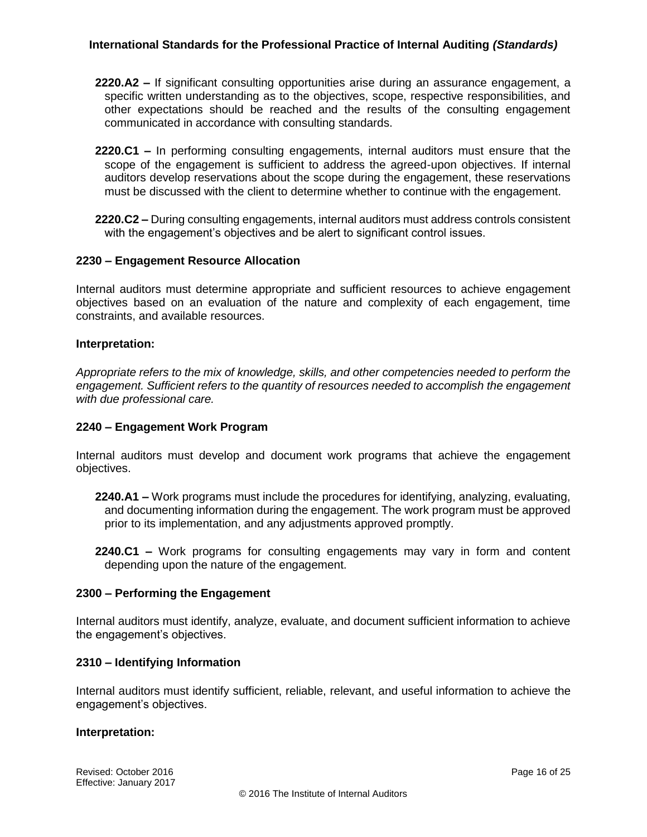- **2220.A2 –** If significant consulting opportunities arise during an assurance engagement, a specific written understanding as to the objectives, scope, respective responsibilities, and other expectations should be reached and the results of the consulting engagement communicated in accordance with consulting standards.
- **2220.C1 –** In performing consulting engagements, internal auditors must ensure that the scope of the engagement is sufficient to address the agreed-upon objectives. If internal auditors develop reservations about the scope during the engagement, these reservations must be discussed with the client to determine whether to continue with the engagement.
- **2220.C2 –** During consulting engagements, internal auditors must address controls consistent with the engagement's objectives and be alert to significant control issues.

# **2230 – Engagement Resource Allocation**

Internal auditors must determine appropriate and sufficient resources to achieve engagement objectives based on an evaluation of the nature and complexity of each engagement, time constraints, and available resources.

# **Interpretation:**

*Appropriate refers to the mix of knowledge, skills, and other competencies needed to perform the engagement. Sufficient refers to the quantity of resources needed to accomplish the engagement with due professional care.*

# **2240 – Engagement Work Program**

Internal auditors must develop and document work programs that achieve the engagement objectives.

- **2240.A1 –** Work programs must include the procedures for identifying, analyzing, evaluating, and documenting information during the engagement. The work program must be approved prior to its implementation, and any adjustments approved promptly.
- **2240.C1 –** Work programs for consulting engagements may vary in form and content depending upon the nature of the engagement.

# **2300 – Performing the Engagement**

Internal auditors must identify, analyze, evaluate, and document sufficient information to achieve the engagement's objectives.

# **2310 – Identifying Information**

Internal auditors must identify sufficient, reliable, relevant, and useful information to achieve the engagement's objectives.

### **Interpretation:**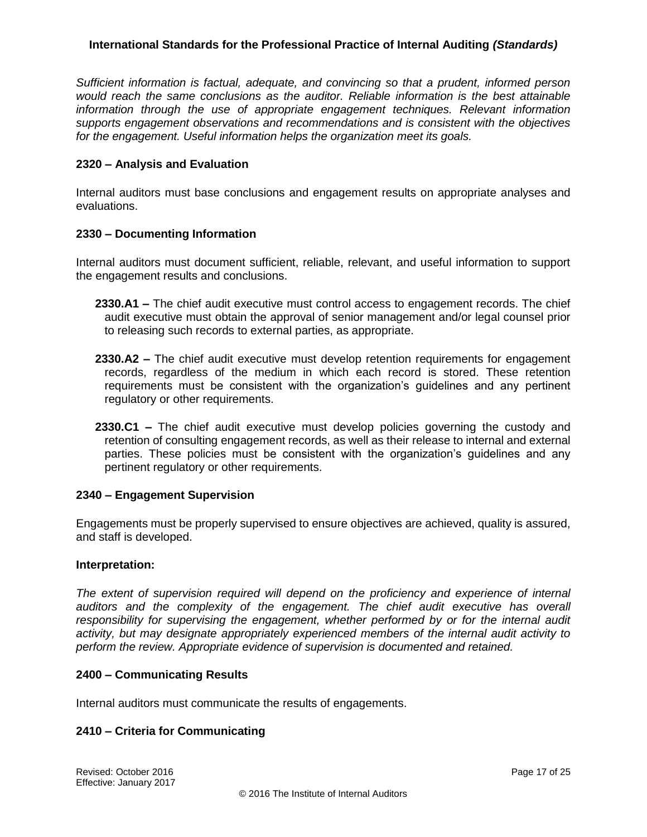*Sufficient information is factual, adequate, and convincing so that a prudent, informed person would reach the same conclusions as the auditor. Reliable information is the best attainable information through the use of appropriate engagement techniques. Relevant information supports engagement observations and recommendations and is consistent with the objectives for the engagement. Useful information helps the organization meet its goals.*

# **2320 – Analysis and Evaluation**

Internal auditors must base conclusions and engagement results on appropriate analyses and evaluations.

### **2330 – Documenting Information**

Internal auditors must document sufficient, reliable, relevant, and useful information to support the engagement results and conclusions.

- **2330.A1 –** The chief audit executive must control access to engagement records. The chief audit executive must obtain the approval of senior management and/or legal counsel prior to releasing such records to external parties, as appropriate.
- **2330.A2 –** The chief audit executive must develop retention requirements for engagement records, regardless of the medium in which each record is stored. These retention requirements must be consistent with the organization's guidelines and any pertinent regulatory or other requirements.
- **2330.C1 –** The chief audit executive must develop policies governing the custody and retention of consulting engagement records, as well as their release to internal and external parties. These policies must be consistent with the organization's guidelines and any pertinent regulatory or other requirements.

# **2340 – Engagement Supervision**

Engagements must be properly supervised to ensure objectives are achieved, quality is assured, and staff is developed.

#### **Interpretation:**

*The extent of supervision required will depend on the proficiency and experience of internal auditors and the complexity of the engagement. The chief audit executive has overall responsibility for supervising the engagement, whether performed by or for the internal audit activity, but may designate appropriately experienced members of the internal audit activity to perform the review. Appropriate evidence of supervision is documented and retained.*

# **2400 – Communicating Results**

Internal auditors must communicate the results of engagements.

# **2410 – Criteria for Communicating**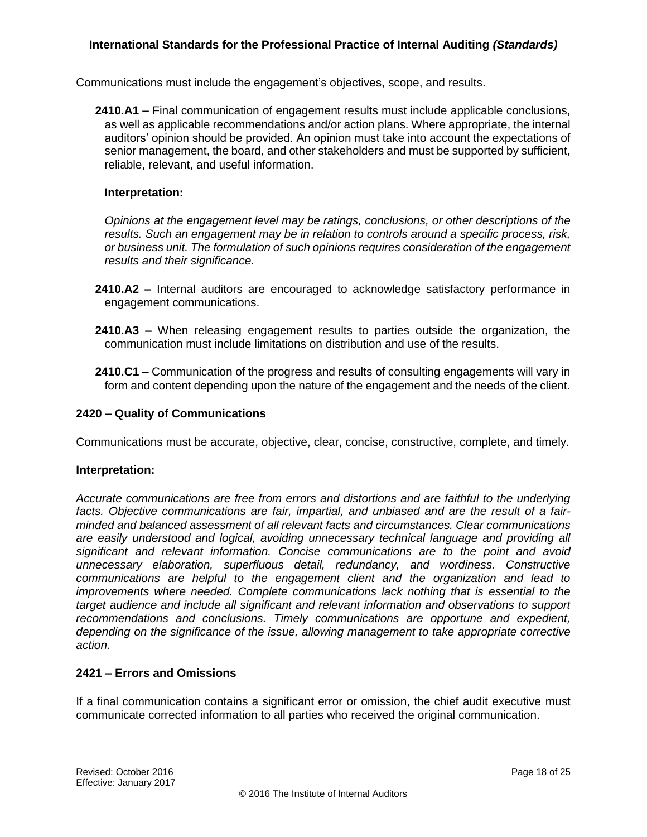Communications must include the engagement's objectives, scope, and results.

**2410.A1 –** Final communication of engagement results must include applicable conclusions, as well as applicable recommendations and/or action plans. Where appropriate, the internal auditors' opinion should be provided. An opinion must take into account the expectations of senior management, the board, and other stakeholders and must be supported by sufficient, reliable, relevant, and useful information.

### **Interpretation:**

*Opinions at the engagement level may be ratings, conclusions, or other descriptions of the results. Such an engagement may be in relation to controls around a specific process, risk, or business unit. The formulation of such opinions requires consideration of the engagement results and their significance.*

- **2410.A2 –** Internal auditors are encouraged to acknowledge satisfactory performance in engagement communications.
- **2410.A3 –** When releasing engagement results to parties outside the organization, the communication must include limitations on distribution and use of the results.
- **2410.C1 –** Communication of the progress and results of consulting engagements will vary in form and content depending upon the nature of the engagement and the needs of the client.

### **2420 – Quality of Communications**

Communications must be accurate, objective, clear, concise, constructive, complete, and timely.

#### **Interpretation:**

*Accurate communications are free from errors and distortions and are faithful to the underlying facts. Objective communications are fair, impartial, and unbiased and are the result of a fairminded and balanced assessment of all relevant facts and circumstances. Clear communications are easily understood and logical, avoiding unnecessary technical language and providing all significant and relevant information. Concise communications are to the point and avoid unnecessary elaboration, superfluous detail, redundancy, and wordiness. Constructive communications are helpful to the engagement client and the organization and lead to improvements where needed. Complete communications lack nothing that is essential to the target audience and include all significant and relevant information and observations to support recommendations and conclusions. Timely communications are opportune and expedient, depending on the significance of the issue, allowing management to take appropriate corrective action.*

# **2421 – Errors and Omissions**

If a final communication contains a significant error or omission, the chief audit executive must communicate corrected information to all parties who received the original communication.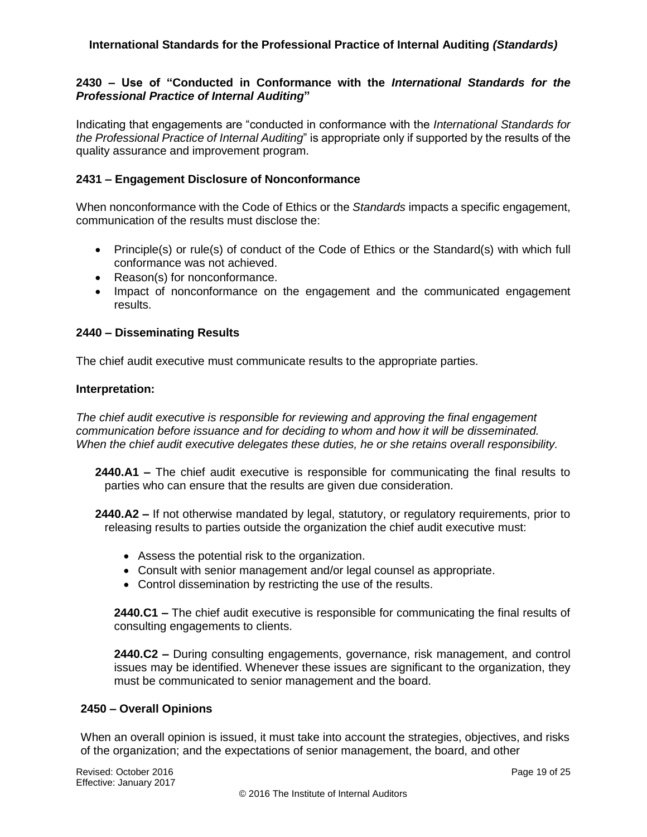# **2430 – Use of "Conducted in Conformance with the** *International Standards for the Professional Practice of Internal Auditing***"**

Indicating that engagements are "conducted in conformance with the *International Standards for the Professional Practice of Internal Auditing*" is appropriate only if supported by the results of the quality assurance and improvement program.

# **2431 – Engagement Disclosure of Nonconformance**

When nonconformance with the Code of Ethics or the *Standards* impacts a specific engagement, communication of the results must disclose the:

- Principle(s) or rule(s) of conduct of the Code of Ethics or the Standard(s) with which full conformance was not achieved.
- Reason(s) for nonconformance.
- Impact of nonconformance on the engagement and the communicated engagement results.

# **2440 – Disseminating Results**

The chief audit executive must communicate results to the appropriate parties.

# **Interpretation:**

*The chief audit executive is responsible for reviewing and approving the final engagement communication before issuance and for deciding to whom and how it will be disseminated. When the chief audit executive delegates these duties, he or she retains overall responsibility.*

**2440.A1 –** The chief audit executive is responsible for communicating the final results to parties who can ensure that the results are given due consideration.

**2440.A2 –** If not otherwise mandated by legal, statutory, or regulatory requirements, prior to releasing results to parties outside the organization the chief audit executive must:

- Assess the potential risk to the organization.
- Consult with senior management and/or legal counsel as appropriate.
- Control dissemination by restricting the use of the results.

**2440.C1 –** The chief audit executive is responsible for communicating the final results of consulting engagements to clients.

**2440.C2 –** During consulting engagements, governance, risk management, and control issues may be identified. Whenever these issues are significant to the organization, they must be communicated to senior management and the board.

# **2450 – Overall Opinions**

When an overall opinion is issued, it must take into account the strategies, objectives, and risks of the organization; and the expectations of senior management, the board, and other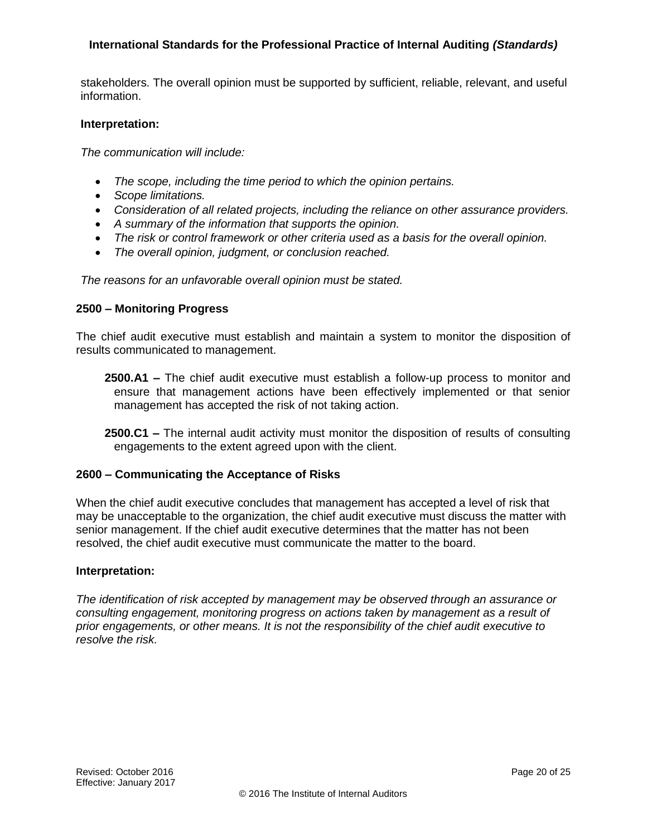stakeholders. The overall opinion must be supported by sufficient, reliable, relevant, and useful information.

### **Interpretation:**

*The communication will include:*

- *The scope, including the time period to which the opinion pertains.*
- *Scope limitations.*
- *Consideration of all related projects, including the reliance on other assurance providers.*
- *A summary of the information that supports the opinion.*
- *The risk or control framework or other criteria used as a basis for the overall opinion.*
- *The overall opinion, judgment, or conclusion reached.*

*The reasons for an unfavorable overall opinion must be stated.*

# **2500 – Monitoring Progress**

The chief audit executive must establish and maintain a system to monitor the disposition of results communicated to management.

- **2500.A1 –** The chief audit executive must establish a follow-up process to monitor and ensure that management actions have been effectively implemented or that senior management has accepted the risk of not taking action.
- **2500.C1 –** The internal audit activity must monitor the disposition of results of consulting engagements to the extent agreed upon with the client.

# **2600 – Communicating the Acceptance of Risks**

When the chief audit executive concludes that management has accepted a level of risk that may be unacceptable to the organization, the chief audit executive must discuss the matter with senior management. If the chief audit executive determines that the matter has not been resolved, the chief audit executive must communicate the matter to the board.

#### **Interpretation:**

*The identification of risk accepted by management may be observed through an assurance or consulting engagement, monitoring progress on actions taken by management as a result of prior engagements, or other means. It is not the responsibility of the chief audit executive to resolve the risk.*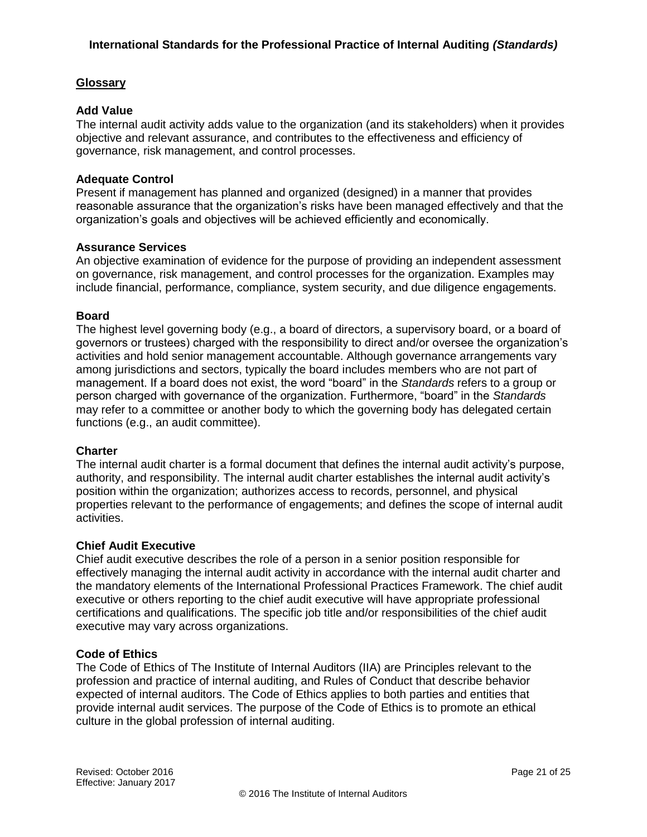# **Glossary**

# **Add Value**

The internal audit activity adds value to the organization (and its stakeholders) when it provides objective and relevant assurance, and contributes to the effectiveness and efficiency of governance, risk management, and control processes.

# **Adequate Control**

Present if management has planned and organized (designed) in a manner that provides reasonable assurance that the organization's risks have been managed effectively and that the organization's goals and objectives will be achieved efficiently and economically.

# **Assurance Services**

An objective examination of evidence for the purpose of providing an independent assessment on governance, risk management, and control processes for the organization. Examples may include financial, performance, compliance, system security, and due diligence engagements.

# **Board**

The highest level governing body (e.g., a board of directors, a supervisory board, or a board of governors or trustees) charged with the responsibility to direct and/or oversee the organization's activities and hold senior management accountable. Although governance arrangements vary among jurisdictions and sectors, typically the board includes members who are not part of management. If a board does not exist, the word "board" in the *Standards* refers to a group or person charged with governance of the organization. Furthermore, "board" in the *Standards* may refer to a committee or another body to which the governing body has delegated certain functions (e.g., an audit committee).

# **Charter**

The internal audit charter is a formal document that defines the internal audit activity's purpose, authority, and responsibility. The internal audit charter establishes the internal audit activity's position within the organization; authorizes access to records, personnel, and physical properties relevant to the performance of engagements; and defines the scope of internal audit activities.

# **Chief Audit Executive**

Chief audit executive describes the role of a person in a senior position responsible for effectively managing the internal audit activity in accordance with the internal audit charter and the mandatory elements of the International Professional Practices Framework. The chief audit executive or others reporting to the chief audit executive will have appropriate professional certifications and qualifications. The specific job title and/or responsibilities of the chief audit executive may vary across organizations.

# **Code of Ethics**

The Code of Ethics of The Institute of Internal Auditors (IIA) are Principles relevant to the profession and practice of internal auditing, and Rules of Conduct that describe behavior expected of internal auditors. The Code of Ethics applies to both parties and entities that provide internal audit services. The purpose of the Code of Ethics is to promote an ethical culture in the global profession of internal auditing.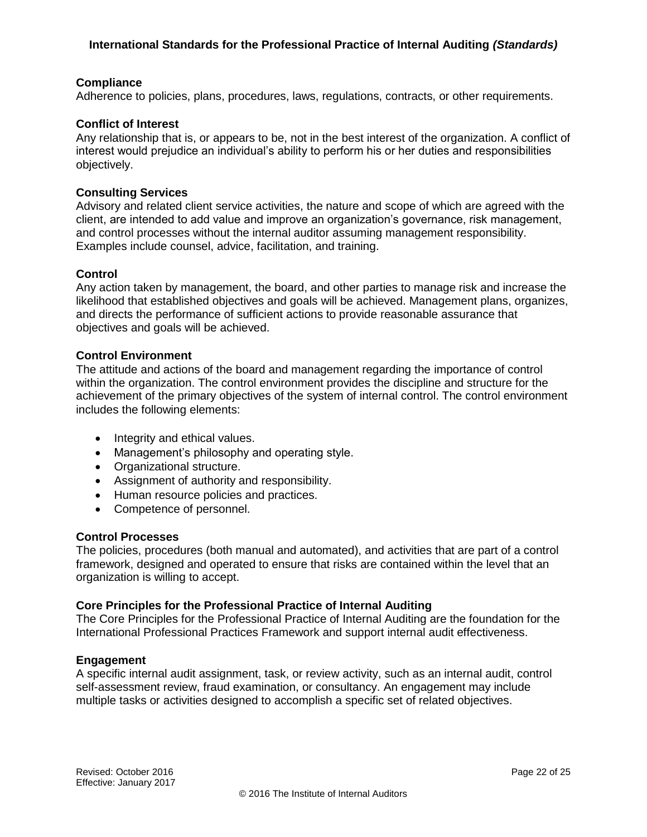# **Compliance**

Adherence to policies, plans, procedures, laws, regulations, contracts, or other requirements.

# **Conflict of Interest**

Any relationship that is, or appears to be, not in the best interest of the organization. A conflict of interest would prejudice an individual's ability to perform his or her duties and responsibilities objectively.

# **Consulting Services**

Advisory and related client service activities, the nature and scope of which are agreed with the client, are intended to add value and improve an organization's governance, risk management, and control processes without the internal auditor assuming management responsibility. Examples include counsel, advice, facilitation, and training.

# **Control**

Any action taken by management, the board, and other parties to manage risk and increase the likelihood that established objectives and goals will be achieved. Management plans, organizes, and directs the performance of sufficient actions to provide reasonable assurance that objectives and goals will be achieved.

# **Control Environment**

The attitude and actions of the board and management regarding the importance of control within the organization. The control environment provides the discipline and structure for the achievement of the primary objectives of the system of internal control. The control environment includes the following elements:

- Integrity and ethical values.
- Management's philosophy and operating style.
- Organizational structure.
- Assignment of authority and responsibility.
- Human resource policies and practices.
- Competence of personnel.

# **Control Processes**

The policies, procedures (both manual and automated), and activities that are part of a control framework, designed and operated to ensure that risks are contained within the level that an organization is willing to accept.

# **Core Principles for the Professional Practice of Internal Auditing**

The Core Principles for the Professional Practice of Internal Auditing are the foundation for the International Professional Practices Framework and support internal audit effectiveness.

# **Engagement**

A specific internal audit assignment, task, or review activity, such as an internal audit, control self-assessment review, fraud examination, or consultancy. An engagement may include multiple tasks or activities designed to accomplish a specific set of related objectives.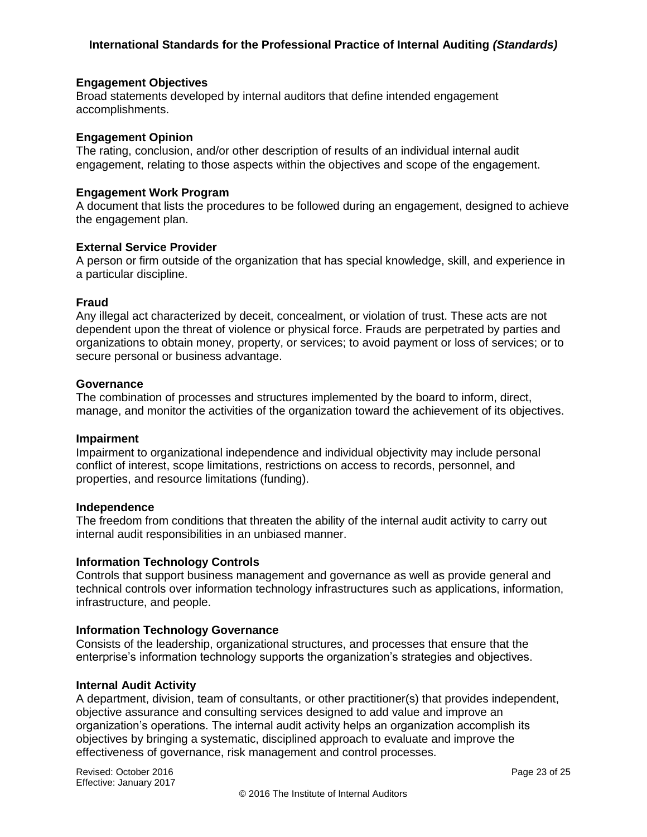# **Engagement Objectives**

Broad statements developed by internal auditors that define intended engagement accomplishments.

### **Engagement Opinion**

The rating, conclusion, and/or other description of results of an individual internal audit engagement, relating to those aspects within the objectives and scope of the engagement.

### **Engagement Work Program**

A document that lists the procedures to be followed during an engagement, designed to achieve the engagement plan.

### **External Service Provider**

A person or firm outside of the organization that has special knowledge, skill, and experience in a particular discipline.

# **Fraud**

Any illegal act characterized by deceit, concealment, or violation of trust. These acts are not dependent upon the threat of violence or physical force. Frauds are perpetrated by parties and organizations to obtain money, property, or services; to avoid payment or loss of services; or to secure personal or business advantage.

#### **Governance**

The combination of processes and structures implemented by the board to inform, direct, manage, and monitor the activities of the organization toward the achievement of its objectives.

#### **Impairment**

Impairment to organizational independence and individual objectivity may include personal conflict of interest, scope limitations, restrictions on access to records, personnel, and properties, and resource limitations (funding).

#### **Independence**

The freedom from conditions that threaten the ability of the internal audit activity to carry out internal audit responsibilities in an unbiased manner.

# **Information Technology Controls**

Controls that support business management and governance as well as provide general and technical controls over information technology infrastructures such as applications, information, infrastructure, and people.

# **Information Technology Governance**

Consists of the leadership, organizational structures, and processes that ensure that the enterprise's information technology supports the organization's strategies and objectives.

### **Internal Audit Activity**

A department, division, team of consultants, or other practitioner(s) that provides independent, objective assurance and consulting services designed to add value and improve an organization's operations. The internal audit activity helps an organization accomplish its objectives by bringing a systematic, disciplined approach to evaluate and improve the effectiveness of governance, risk management and control processes.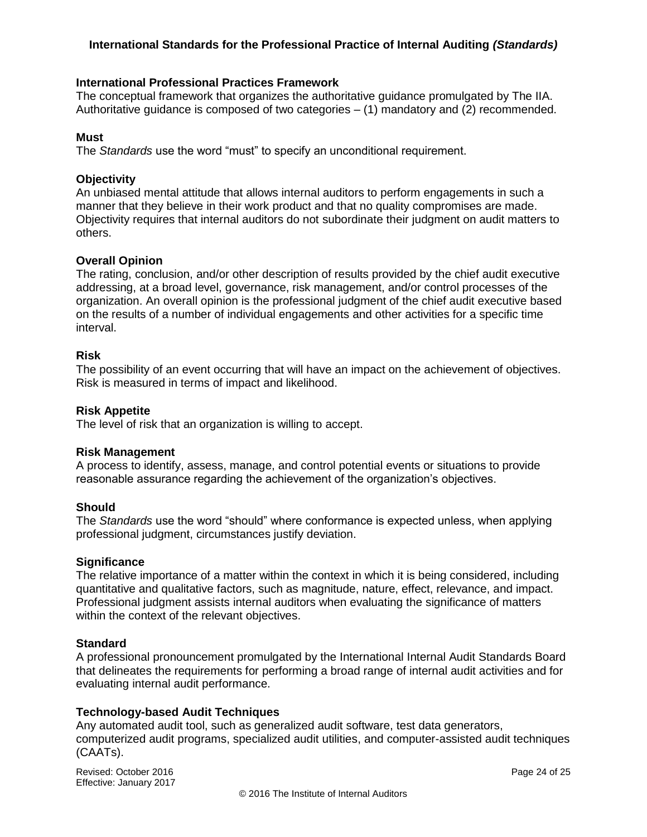# **International Professional Practices Framework**

The conceptual framework that organizes the authoritative guidance promulgated by The IIA. Authoritative guidance is composed of two categories – (1) mandatory and (2) recommended.

### **Must**

The *Standards* use the word "must" to specify an unconditional requirement.

### **Objectivity**

An unbiased mental attitude that allows internal auditors to perform engagements in such a manner that they believe in their work product and that no quality compromises are made. Objectivity requires that internal auditors do not subordinate their judgment on audit matters to others.

### **Overall Opinion**

The rating, conclusion, and/or other description of results provided by the chief audit executive addressing, at a broad level, governance, risk management, and/or control processes of the organization. An overall opinion is the professional judgment of the chief audit executive based on the results of a number of individual engagements and other activities for a specific time interval.

### **Risk**

The possibility of an event occurring that will have an impact on the achievement of objectives. Risk is measured in terms of impact and likelihood.

### **Risk Appetite**

The level of risk that an organization is willing to accept.

#### **Risk Management**

A process to identify, assess, manage, and control potential events or situations to provide reasonable assurance regarding the achievement of the organization's objectives.

#### **Should**

The *Standards* use the word "should" where conformance is expected unless, when applying professional judgment, circumstances justify deviation.

### **Significance**

The relative importance of a matter within the context in which it is being considered, including quantitative and qualitative factors, such as magnitude, nature, effect, relevance, and impact. Professional judgment assists internal auditors when evaluating the significance of matters within the context of the relevant objectives.

#### **Standard**

A professional pronouncement promulgated by the International Internal Audit Standards Board that delineates the requirements for performing a broad range of internal audit activities and for evaluating internal audit performance.

# **Technology-based Audit Techniques**

Any automated audit tool, such as generalized audit software, test data generators, computerized audit programs, specialized audit utilities, and computer-assisted audit techniques (CAATs).